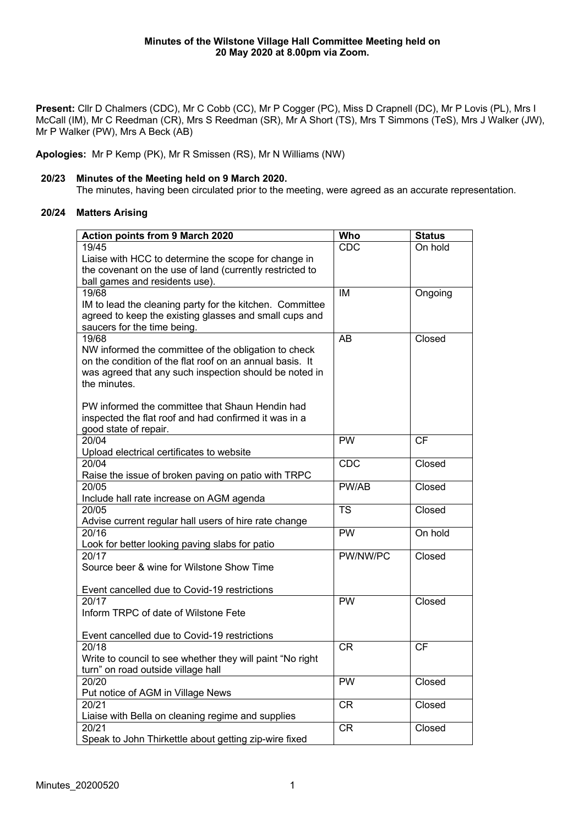**Present:** Cllr D Chalmers (CDC), Mr C Cobb (CC), Mr P Cogger (PC), Miss D Crapnell (DC), Mr P Lovis (PL), Mrs I McCall (IM), Mr C Reedman (CR), Mrs S Reedman (SR), Mr A Short (TS), Mrs T Simmons (TeS), Mrs J Walker (JW), Mr P Walker (PW), Mrs A Beck (AB)

**Apologies:** Mr P Kemp (PK), Mr R Smissen (RS), Mr N Williams (NW)

## **20/23 Minutes of the Meeting held on 9 March 2020.**

The minutes, having been circulated prior to the meeting, were agreed as an accurate representation.

## **20/24 Matters Arising**

| <b>CDC</b><br>On hold                                                                                                                                                                                                                           |
|-------------------------------------------------------------------------------------------------------------------------------------------------------------------------------------------------------------------------------------------------|
|                                                                                                                                                                                                                                                 |
|                                                                                                                                                                                                                                                 |
|                                                                                                                                                                                                                                                 |
|                                                                                                                                                                                                                                                 |
|                                                                                                                                                                                                                                                 |
|                                                                                                                                                                                                                                                 |
|                                                                                                                                                                                                                                                 |
|                                                                                                                                                                                                                                                 |
|                                                                                                                                                                                                                                                 |
|                                                                                                                                                                                                                                                 |
|                                                                                                                                                                                                                                                 |
|                                                                                                                                                                                                                                                 |
|                                                                                                                                                                                                                                                 |
|                                                                                                                                                                                                                                                 |
|                                                                                                                                                                                                                                                 |
| <b>PW</b><br><b>CF</b>                                                                                                                                                                                                                          |
|                                                                                                                                                                                                                                                 |
| Closed                                                                                                                                                                                                                                          |
|                                                                                                                                                                                                                                                 |
|                                                                                                                                                                                                                                                 |
|                                                                                                                                                                                                                                                 |
|                                                                                                                                                                                                                                                 |
|                                                                                                                                                                                                                                                 |
|                                                                                                                                                                                                                                                 |
|                                                                                                                                                                                                                                                 |
|                                                                                                                                                                                                                                                 |
|                                                                                                                                                                                                                                                 |
|                                                                                                                                                                                                                                                 |
| Closed<br><b>PW</b>                                                                                                                                                                                                                             |
|                                                                                                                                                                                                                                                 |
|                                                                                                                                                                                                                                                 |
|                                                                                                                                                                                                                                                 |
|                                                                                                                                                                                                                                                 |
|                                                                                                                                                                                                                                                 |
|                                                                                                                                                                                                                                                 |
|                                                                                                                                                                                                                                                 |
|                                                                                                                                                                                                                                                 |
|                                                                                                                                                                                                                                                 |
|                                                                                                                                                                                                                                                 |
|                                                                                                                                                                                                                                                 |
| IM<br>Ongoing<br><b>AB</b><br>Closed<br><b>CDC</b><br>PW/AB<br>Closed<br>$\overline{\text{TS}}$<br>Closed<br><b>PW</b><br>On hold<br>PW/NW/PC<br>Closed<br><b>CR</b><br><b>CF</b><br>PW<br>Closed<br>Closed<br><b>CR</b><br><b>CR</b><br>Closed |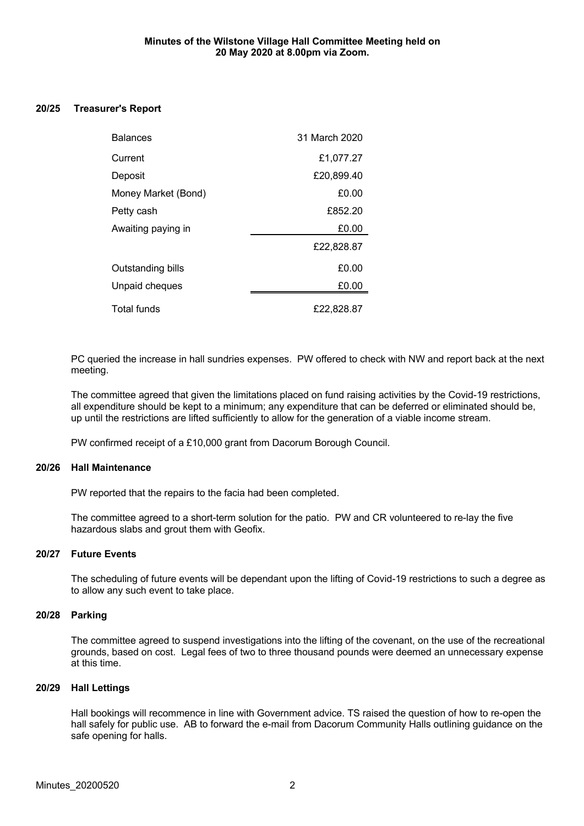#### **20/25 Treasurer's Report**

| <b>Balances</b>          | 31 March 2020 |
|--------------------------|---------------|
| Current                  | £1,077.27     |
| Deposit                  | £20,899.40    |
| Money Market (Bond)      | £0.00         |
| Petty cash               | £852.20       |
| Awaiting paying in       | £0.00         |
|                          | £22,828.87    |
| <b>Outstanding bills</b> | £0.00         |
| Unpaid cheques           | £0.00         |
| <b>Total funds</b>       | £22,828.87    |

PC queried the increase in hall sundries expenses. PW offered to check with NW and report back at the next meeting.

The committee agreed that given the limitations placed on fund raising activities by the Covid-19 restrictions, all expenditure should be kept to a minimum; any expenditure that can be deferred or eliminated should be, up until the restrictions are lifted sufficiently to allow for the generation of a viable income stream.

PW confirmed receipt of a £10,000 grant from Dacorum Borough Council.

#### **20/26 Hall Maintenance**

PW reported that the repairs to the facia had been completed.

The committee agreed to a short-term solution for the patio. PW and CR volunteered to re-lay the five hazardous slabs and grout them with Geofix.

## **20/27 Future Events**

The scheduling of future events will be dependant upon the lifting of Covid-19 restrictions to such a degree as to allow any such event to take place.

## **20/28 Parking**

The committee agreed to suspend investigations into the lifting of the covenant, on the use of the recreational grounds, based on cost. Legal fees of two to three thousand pounds were deemed an unnecessary expense at this time.

#### **20/29 Hall Lettings**

Hall bookings will recommence in line with Government advice. TS raised the question of how to re-open the hall safely for public use. AB to forward the e-mail from Dacorum Community Halls outlining guidance on the safe opening for halls.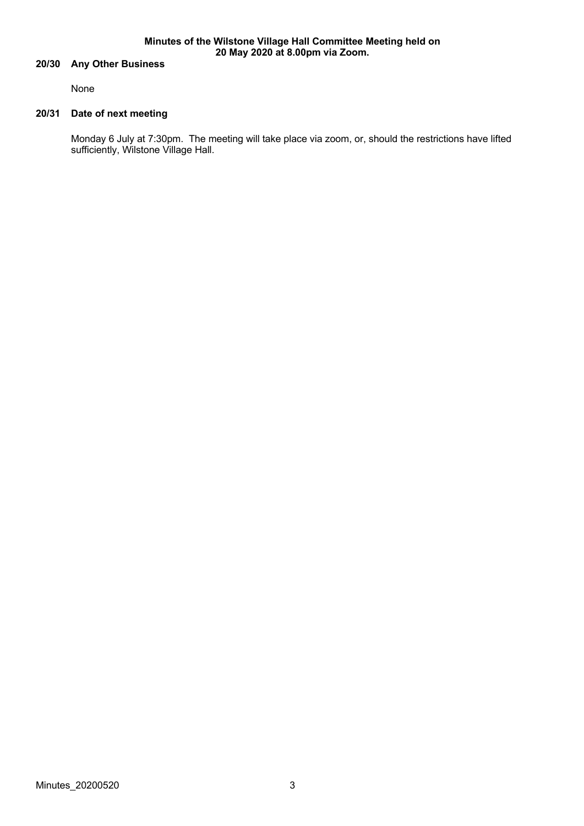#### **Minutes of the Wilstone Village Hall Committee Meeting held on 20 May 2020 at 8.00pm via Zoom.**

## **20/30 Any Other Business**

None

## **20/31 Date of next meeting**

Monday 6 July at 7:30pm. The meeting will take place via zoom, or, should the restrictions have lifted sufficiently, Wilstone Village Hall.